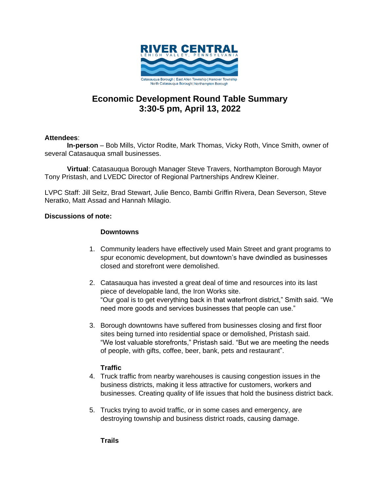

# **Economic Development Round Table Summary 3:30-5 pm, April 13, 2022**

## **Attendees**:

**In-person** – Bob Mills, Victor Rodite, Mark Thomas, Vicky Roth, Vince Smith, owner of several Catasauqua small businesses.

**Virtual**: Catasauqua Borough Manager Steve Travers, Northampton Borough Mayor Tony Pristash, and LVEDC Director of Regional Partnerships Andrew Kleiner.

LVPC Staff: Jill Seitz, Brad Stewart, Julie Benco, Bambi Griffin Rivera, Dean Severson, Steve Neratko, Matt Assad and Hannah Milagio.

#### **Discussions of note:**

#### **Downtowns**

- 1. Community leaders have effectively used Main Street and grant programs to spur economic development, but downtown's have dwindled as businesses closed and storefront were demolished.
- 2. Catasauqua has invested a great deal of time and resources into its last piece of developable land, the Iron Works site. "Our goal is to get everything back in that waterfront district," Smith said. "We need more goods and services businesses that people can use."
- 3. Borough downtowns have suffered from businesses closing and first floor sites being turned into residential space or demolished, Pristash said. "We lost valuable storefronts," Pristash said. "But we are meeting the needs of people, with gifts, coffee, beer, bank, pets and restaurant".

## **Traffic**

- 4. Truck traffic from nearby warehouses is causing congestion issues in the business districts, making it less attractive for customers, workers and businesses. Creating quality of life issues that hold the business district back.
- 5. Trucks trying to avoid traffic, or in some cases and emergency, are destroying township and business district roads, causing damage.

**Trails**